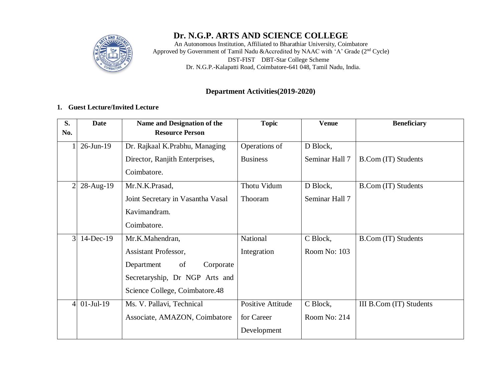

# **Dr. N.G.P. ARTS AND SCIENCE COLLEGE**

An Autonomous Institution, Affiliated to Bharathiar University, Coimbatore Approved by Government of Tamil Nadu &Accredited by NAAC with 'A' Grade (2<sup>nd</sup> Cycle) DST**-**FIST DBT**-**Star College Scheme Dr. N.G.P.**-**Kalapatti Road, Coimbatore**-**641 048, Tamil Nadu, India.

#### **Department Activities(2019-2020)**

#### **1. Guest Lecture/Invited Lecture**

| S.<br>No.      | <b>Date</b>  | Name and Designation of the<br><b>Resource Person</b> | <b>Topic</b>      | <b>Venue</b>   | <b>Beneficiary</b>      |
|----------------|--------------|-------------------------------------------------------|-------------------|----------------|-------------------------|
|                | $26$ -Jun-19 | Dr. Rajkaal K.Prabhu, Managing                        | Operations of     | D Block,       |                         |
|                |              | Director, Ranjith Enterprises,                        | <b>Business</b>   | Seminar Hall 7 | B.Com (IT) Students     |
|                |              | Coimbatore.                                           |                   |                |                         |
| $\overline{2}$ | 28-Aug-19    | Mr.N.K.Prasad,                                        | Thotu Vidum       | D Block,       | B.Com (IT) Students     |
|                |              | Joint Secretary in Vasantha Vasal                     | Thooram           | Seminar Hall 7 |                         |
|                |              | Kavimandram.                                          |                   |                |                         |
|                |              | Coimbatore.                                           |                   |                |                         |
| 3              | 14-Dec-19    | Mr.K.Mahendran,                                       | National          | C Block,       | B.Com (IT) Students     |
|                |              | Assistant Professor,                                  | Integration       | Room No: 103   |                         |
|                |              | Department<br>Corporate<br>of                         |                   |                |                         |
|                |              | Secretaryship, Dr NGP Arts and                        |                   |                |                         |
|                |              | Science College, Coimbatore.48                        |                   |                |                         |
| $\overline{4}$ | $01$ -Jul-19 | Ms. V. Pallavi, Technical                             | Positive Attitude | C Block,       | III B.Com (IT) Students |
|                |              | Associate, AMAZON, Coimbatore                         | for Career        | Room No: 214   |                         |
|                |              |                                                       | Development       |                |                         |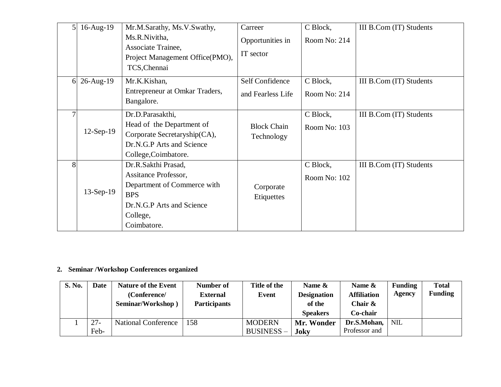| 5.             | 16-Aug-19   | Mr.M.Sarathy, Ms.V.Swathy,<br>Ms.R.Nivitha,<br>Associate Trainee,<br>Project Management Office(PMO),                                             | Carreer<br>Opportunities in<br>IT sector | C Block,<br>Room No: 214 | III B.Com (IT) Students |
|----------------|-------------|--------------------------------------------------------------------------------------------------------------------------------------------------|------------------------------------------|--------------------------|-------------------------|
|                |             | TCS, Chennai                                                                                                                                     |                                          |                          |                         |
| 6 <sup>1</sup> | 26-Aug-19   | Mr.K.Kishan,                                                                                                                                     | Self Confidence                          | C Block,                 | III B.Com (IT) Students |
|                |             | Entrepreneur at Omkar Traders,<br>Bangalore.                                                                                                     | and Fearless Life                        | Room No: 214             |                         |
| 7              | $12-Sep-19$ | Dr.D.Parasakthi,<br>Head of the Department of<br>Corporate Secretaryship(CA),<br>Dr.N.G.P Arts and Science<br>College, Coimbatore.               | <b>Block Chain</b><br>Technology         | C Block,<br>Room No: 103 | III B.Com (IT) Students |
| 8              | 13-Sep-19   | Dr.R.Sakthi Prasad,<br>Assitance Professor,<br>Department of Commerce with<br><b>BPS</b><br>Dr.N.G.P Arts and Science<br>College,<br>Coimbatore. | Corporate<br>Etiquettes                  | C Block,<br>Room No: 102 | III B.Com (IT) Students |

# **2. Seminar /Workshop Conferences organized**

| S. No. | Date           | <b>Nature of the Event</b><br>(Conference/<br>Seminar/Workshop) | Number of<br><b>External</b><br><b>Participants</b> | Title of the<br>Event             | Name $\&$<br><b>Designation</b><br>of the<br><b>Speakers</b> | Name $\&$<br><b>Affiliation</b><br>Chair $\&$<br>Co-chair | <b>Funding</b><br>Agency | <b>Total</b><br><b>Funding</b> |
|--------|----------------|-----------------------------------------------------------------|-----------------------------------------------------|-----------------------------------|--------------------------------------------------------------|-----------------------------------------------------------|--------------------------|--------------------------------|
|        | $27 -$<br>Feb- | <b>National Conference</b>                                      | 158                                                 | <b>MODERN</b><br><b>BUSINESS-</b> | Mr. Wonder<br>Joky                                           | Dr.S.Mohan,<br>Professor and                              | NIL <sup></sup>          |                                |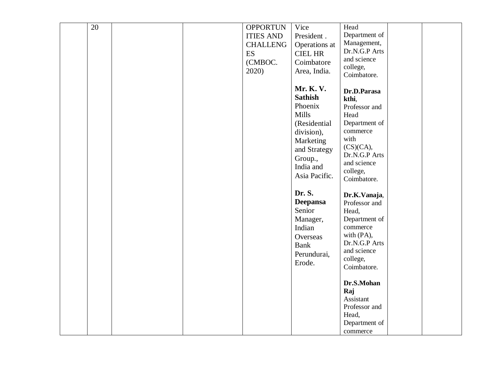| $\overline{20}$ |  | <b>OPPORTUN</b>  | Vice            | Head          |  |
|-----------------|--|------------------|-----------------|---------------|--|
|                 |  | <b>ITIES AND</b> | President.      | Department of |  |
|                 |  | <b>CHALLENG</b>  |                 | Management,   |  |
|                 |  |                  | Operations at   | Dr.N.G.P Arts |  |
|                 |  | ES               | <b>CIEL HR</b>  | and science   |  |
|                 |  | (CMBOC.          | Coimbatore      | college,      |  |
|                 |  | 2020)            | Area, India.    | Coimbatore.   |  |
|                 |  |                  |                 |               |  |
|                 |  |                  | Mr. K. V.       | Dr.D.Parasa   |  |
|                 |  |                  | <b>Sathish</b>  | kthi,         |  |
|                 |  |                  | Phoenix         | Professor and |  |
|                 |  |                  | <b>Mills</b>    | Head          |  |
|                 |  |                  | (Residential    | Department of |  |
|                 |  |                  | division),      | commerce      |  |
|                 |  |                  | Marketing       | with          |  |
|                 |  |                  |                 | (CS)(CA),     |  |
|                 |  |                  | and Strategy    | Dr.N.G.P Arts |  |
|                 |  |                  | Group.,         | and science   |  |
|                 |  |                  | India and       | college,      |  |
|                 |  |                  | Asia Pacific.   | Coimbatore.   |  |
|                 |  |                  |                 |               |  |
|                 |  |                  | Dr. S.          | Dr.K.Vanaja,  |  |
|                 |  |                  | <b>Deepansa</b> | Professor and |  |
|                 |  |                  | Senior          | Head,         |  |
|                 |  |                  | Manager,        | Department of |  |
|                 |  |                  | Indian          | commerce      |  |
|                 |  |                  | Overseas        | with (PA),    |  |
|                 |  |                  | <b>Bank</b>     | Dr.N.G.P Arts |  |
|                 |  |                  |                 | and science   |  |
|                 |  |                  | Perundurai,     | college,      |  |
|                 |  |                  | Erode.          | Coimbatore.   |  |
|                 |  |                  |                 |               |  |
|                 |  |                  |                 | Dr.S.Mohan    |  |
|                 |  |                  |                 | Raj           |  |
|                 |  |                  |                 | Assistant     |  |
|                 |  |                  |                 | Professor and |  |
|                 |  |                  |                 | Head,         |  |
|                 |  |                  |                 | Department of |  |
|                 |  |                  |                 | commerce      |  |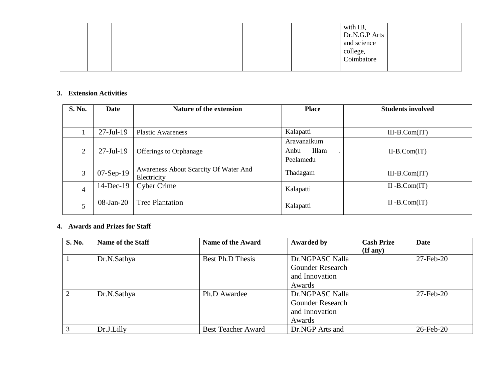|  |  | with IB,<br>Dr.N.G.P Arts<br>and science<br>college,<br>Coimbatore |  |
|--|--|--------------------------------------------------------------------|--|
|  |  |                                                                    |  |

#### **3. Extension Activities**

| S. No. | <b>Date</b>      | <b>Nature of the extension</b>                       | <b>Place</b>                              | <b>Students involved</b> |
|--------|------------------|------------------------------------------------------|-------------------------------------------|--------------------------|
|        |                  |                                                      |                                           |                          |
|        | $27 -$ Jul-19    | <b>Plastic Awareness</b>                             | Kalapatti                                 | $III-B.Com(IT)$          |
| 2      | $27 -$ Jul $-19$ | <b>Offerings to Orphanage</b>                        | Aravanaikum<br>Illam<br>Anbu<br>Peelamedu | $II-B.Com(T)$            |
| 3      | $07-Sep-19$      | Awareness About Scarcity Of Water And<br>Electricity | Thadagam                                  | $III-B.Com(IT)$          |
| 4      | $14$ -Dec-19     | <b>Cyber Crime</b>                                   | Kalapatti                                 | $II - B$ . $Com(T)$      |
| 5      | $08$ -Jan-20     | <b>Tree Plantation</b>                               | Kalapatti                                 | $II - B$ . $Com(T)$      |

#### **4. Awards and Prizes for Staff**

| S. No. | <b>Name of the Staff</b> | <b>Name of the Award</b>  | <b>Awarded by</b>       | <b>Cash Prize</b> | <b>Date</b>  |
|--------|--------------------------|---------------------------|-------------------------|-------------------|--------------|
|        |                          |                           |                         | (If any)          |              |
|        | Dr.N.Sathya              | Best Ph.D Thesis          | Dr.NGPASC Nalla         |                   | 27-Feb-20    |
|        |                          |                           | <b>Gounder Research</b> |                   |              |
|        |                          |                           | and Innovation          |                   |              |
|        |                          |                           | Awards                  |                   |              |
| 2      | Dr.N.Sathya              | Ph.D Awardee              | Dr.NGPASC Nalla         |                   | $27$ -Feb-20 |
|        |                          |                           | <b>Gounder Research</b> |                   |              |
|        |                          |                           | and Innovation          |                   |              |
|        |                          |                           | Awards                  |                   |              |
| 3      | Dr.J.Lilly               | <b>Best Teacher Award</b> | Dr.NGP Arts and         |                   | 26-Feb-20    |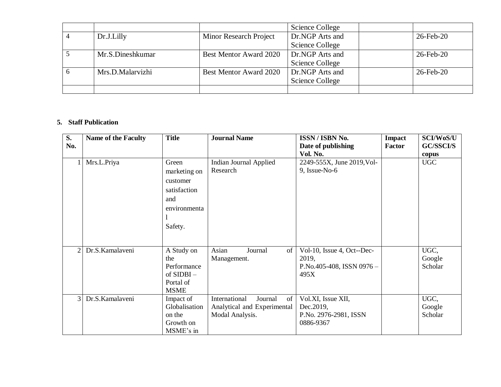|    |                  |                        | Science College |                 |
|----|------------------|------------------------|-----------------|-----------------|
|    | Dr.J.Lilly       | Minor Research Project | Dr.NGP Arts and | $26$ -Feb- $20$ |
|    |                  |                        | Science College |                 |
|    | Mr.S.Dineshkumar | Best Mentor Award 2020 | Dr.NGP Arts and | 26-Feb-20       |
|    |                  |                        | Science College |                 |
| -6 | Mrs.D.Malarvizhi | Best Mentor Award 2020 | Dr.NGP Arts and | 26-Feb-20       |
|    |                  |                        | Science College |                 |
|    |                  |                        |                 |                 |

## **5. Staff Publication**

| $\overline{\mathbf{S}}$ . | <b>Name of the Faculty</b> | <b>Title</b>  | <b>Journal Name</b>            | <b>ISSN/ISBN No.</b>       | <b>Impact</b> | SCI/WoS/U        |
|---------------------------|----------------------------|---------------|--------------------------------|----------------------------|---------------|------------------|
| No.                       |                            |               |                                | Date of publishing         | <b>Factor</b> | <b>GC/SSCI/S</b> |
|                           |                            |               |                                | Vol. No.                   |               | copus            |
|                           | Mrs.L.Priya                | Green         | <b>Indian Journal Applied</b>  | 2249-555X, June 2019, Vol- |               | <b>UGC</b>       |
|                           |                            | marketing on  | Research                       | $9$ , Issue-No-6           |               |                  |
|                           |                            | customer      |                                |                            |               |                  |
|                           |                            | satisfaction  |                                |                            |               |                  |
|                           |                            | and           |                                |                            |               |                  |
|                           |                            | environmenta  |                                |                            |               |                  |
|                           |                            |               |                                |                            |               |                  |
|                           |                            | Safety.       |                                |                            |               |                  |
|                           |                            |               |                                |                            |               |                  |
|                           |                            |               |                                |                            |               |                  |
| $\overline{2}$            | Dr.S.Kamalaveni            | A Study on    | Asian<br>of<br>Journal         | Vol-10, Issue 4, Oct--Dec- |               | UGC,             |
|                           |                            | the           | Management.                    | 2019,                      |               | Google           |
|                           |                            | Performance   |                                | P.No.405-408, ISSN 0976-   |               | Scholar          |
|                           |                            | of $SIDBI -$  |                                | 495X                       |               |                  |
|                           |                            | Portal of     |                                |                            |               |                  |
|                           |                            | <b>MSME</b>   |                                |                            |               |                  |
| $\overline{3}$            | Dr.S.Kamalaveni            | Impact of     | International<br>Journal<br>of | Vol.XI, Issue XII,         |               | UGC,             |
|                           |                            | Globalisation | Analytical and Experimental    | Dec. 2019,                 |               | Google           |
|                           |                            | on the        | Modal Analysis.                | P.No. 2976-2981, ISSN      |               | Scholar          |
|                           |                            | Growth on     |                                | 0886-9367                  |               |                  |
|                           |                            | MSME's in     |                                |                            |               |                  |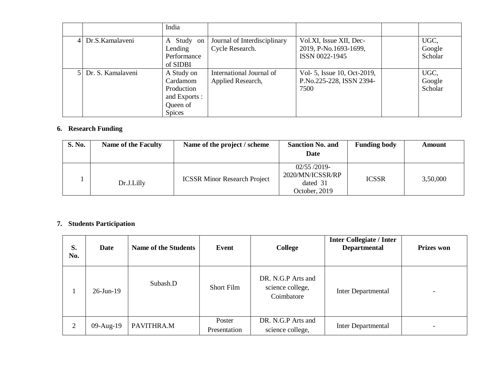|                     | India                                                                              |                                                 |                                                                    |                           |
|---------------------|------------------------------------------------------------------------------------|-------------------------------------------------|--------------------------------------------------------------------|---------------------------|
| Dr.S.Kamalayeni     | A Study on<br>Lending<br>Performance<br>of SIDBI                                   | Journal of Interdisciplinary<br>Cycle Research. | Vol.XI, Issue XII, Dec-<br>2019, P-No.1693-1699,<br>ISSN 0022-1945 | UGC,<br>Google<br>Scholar |
| 5 Dr. S. Kamalayeni | A Study on<br>Cardamom<br>Production<br>and Exports :<br>Queen of<br><b>Spices</b> | International Journal of<br>Applied Research,   | Vol- 5, Issue 10, Oct-2019,<br>P.No.225-228, ISSN 2394-<br>7500    | UGC,<br>Google<br>Scholar |

## **6. Research Funding**

| S. No. | <b>Name of the Faculty</b> | Name of the project / scheme        | <b>Sanction No. and</b><br>Date                             | <b>Funding body</b> | Amount   |
|--------|----------------------------|-------------------------------------|-------------------------------------------------------------|---------------------|----------|
|        | Dr.J.Lilly                 | <b>ICSSR Minor Research Project</b> | 02/55/2019<br>2020/MN/ICSSR/RP<br>dated 31<br>October, 2019 | <b>ICSSR</b>        | 3,50,000 |

#### **7. Students Participation**

| S.<br>No. | Date         | <b>Name of the Students</b> | Event                  | College                                              | <b>Inter Collegiate / Inter</b><br><b>Departmental</b> | <b>Prizes won</b> |
|-----------|--------------|-----------------------------|------------------------|------------------------------------------------------|--------------------------------------------------------|-------------------|
|           | $26$ -Jun-19 | Subash.D                    | Short Film             | DR. N.G.P Arts and<br>science college,<br>Coimbatore | Inter Departmental                                     |                   |
| 2         | 09-Aug-19    | PAVITHRA.M                  | Poster<br>Presentation | DR. N.G.P Arts and<br>science college,               | Inter Departmental                                     |                   |